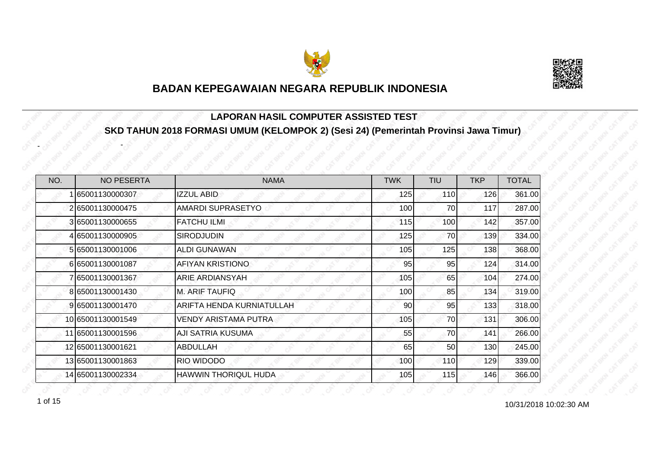



#### **LAPORAN HASIL COMPUTER ASSISTED TEST SKD TAHUN 2018 FORMASI UMUM (KELOMPOK 2) (Sesi 24) (Pemerintah Provinsi Jawa Timur)**

| NO. | <b>NO PESERTA</b> | <b>NAMA</b>                 | <b>TWK</b> | <b>TIU</b> | <b>TKP</b> | <b>TOTAL</b> |
|-----|-------------------|-----------------------------|------------|------------|------------|--------------|
|     | 65001130000307    | <b>IZZUL ABID</b>           | 125        | 110I       | 126        | 361.00       |
|     | 2 65001130000475  | <b>AMARDI SUPRASETYO</b>    | 100        | 70         | 117        | 287.00       |
|     | 3 65001130000655  | <b>FATCHU ILMI</b>          | 115        | 100        | 142        | 357.00       |
|     | 4 65001130000905  | <b>SIRODJUDIN</b>           | 125        | 70         | 139        | 334.00       |
|     | 5 65001130001006  | <b>ALDI GUNAWAN</b>         | 105        | 125        | 138        | 368.00       |
|     | 665001130001087   | AFIYAN KRISTIONO            | 95         | 95         | 124        | 314.00       |
|     | 765001130001367   | <b>ARIE ARDIANSYAH</b>      | 105        | 65         | 104        | 274.00       |
|     | 8 65001130001430  | <b>M. ARIF TAUFIQ</b>       | 100        | 85         | 134        | 319.00       |
|     | 9 65001130001470  | ARIFTA HENDA KURNIATULLAH   | 90         | 95         | 133        | 318.00       |
|     | 10 65001130001549 | <b>VENDY ARISTAMA PUTRA</b> | 105        | 70         | 131        | 306.00       |
|     | 11 65001130001596 | <b>AJI SATRIA KUSUMA</b>    | 55         | 70         | 141        | 266.00       |
|     | 12 65001130001621 | <b>ABDULLAH</b>             | 65         | 50         | 130        | 245.00       |
|     | 13 65001130001863 | RIO WIDODO                  | 100        | 110        | 129        | 339.00       |
|     | 14 65001130002334 | <b>HAWWIN THORIQUL HUDA</b> | 105        | 115        | 146        | 366.00       |

1 of 15

-

-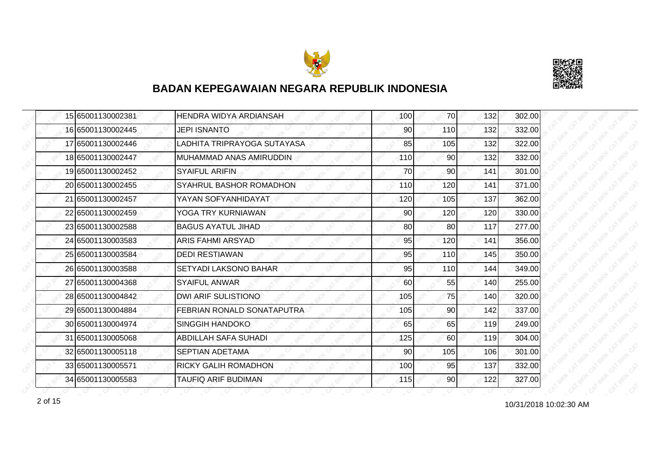



|  | 15 65001130002381 | <b>HENDRA WIDYA ARDIANSAH</b> | 100 | 70              | 132 | 302.00 |
|--|-------------------|-------------------------------|-----|-----------------|-----|--------|
|  | 16 65001130002445 | <b>JEPI ISNANTO</b>           | 90  | 110             | 132 | 332.00 |
|  | 17 65001130002446 | LADHITA TRIPRAYOGA SUTAYASA   | 85  | 105             | 132 | 322.00 |
|  | 18 65001130002447 | MUHAMMAD ANAS AMIRUDDIN       | 110 | 90 <sub>l</sub> | 132 | 332.00 |
|  | 19 65001130002452 | <b>SYAIFUL ARIFIN</b>         | 70  | 90              | 141 | 301.00 |
|  | 20 65001130002455 | SYAHRUL BASHOR ROMADHON       | 110 | 120             | 141 | 371.00 |
|  | 21 65001130002457 | YAYAN SOFYANHIDAYAT           | 120 | 105             | 137 | 362.00 |
|  | 22 65001130002459 | YOGA TRY KURNIAWAN            | 90  | 120             | 120 | 330.00 |
|  | 23 65001130002588 | <b>BAGUS AYATUL JIHAD</b>     | 80  | 80              | 117 | 277.00 |
|  | 24 65001130003583 | ARIS FAHMI ARSYAD             | 95  | 120             | 141 | 356.00 |
|  | 25 65001130003584 | <b>DEDI RESTIAWAN</b>         | 95  | 110             | 145 | 350.00 |
|  | 26 65001130003588 | <b>SETYADI LAKSONO BAHAR</b>  | 95  | 110             | 144 | 349.00 |
|  | 27 65001130004368 | <b>SYAIFUL ANWAR</b>          | 60  | 55              | 140 | 255.00 |
|  | 28 65001130004842 | <b>DWI ARIF SULISTIONO</b>    | 105 | 75              | 140 | 320.00 |
|  | 29 65001130004884 | FEBRIAN RONALD SONATAPUTRA    | 105 | 90              | 142 | 337.00 |
|  | 30 65001130004974 | <b>SINGGIH HANDOKO</b>        | 65  | 65              | 119 | 249.00 |
|  | 31 65001130005068 | <b>ABDILLAH SAFA SUHADI</b>   | 125 | 60              | 119 | 304.00 |
|  | 32 65001130005118 | <b>SEPTIAN ADETAMA</b>        | 90  | 105             | 106 | 301.00 |
|  | 33 65001130005571 | <b>RICKY GALIH ROMADHON</b>   | 100 | 95              | 137 | 332.00 |
|  | 34 65001130005583 | TAUFIQ ARIF BUDIMAN           | 115 | 90              | 122 | 327.00 |

10/31/2018 10:02:30 AM 2 of 15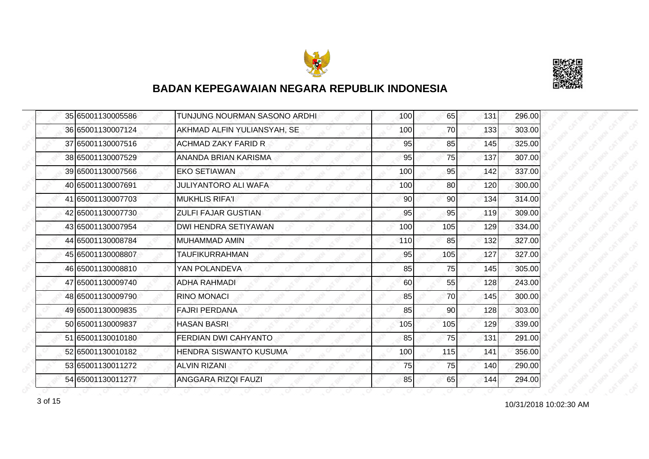



|  | 35 65001130005586 | TUNJUNG NOURMAN SASONO ARDHI  | 100 | 65  | 131 | 296.00 |
|--|-------------------|-------------------------------|-----|-----|-----|--------|
|  | 36 65001130007124 | AKHMAD ALFIN YULIANSYAH, SE   | 100 | 70  | 133 | 303.00 |
|  | 37 65001130007516 | <b>ACHMAD ZAKY FARID R</b>    | 95  | 85  | 145 | 325.00 |
|  | 38 65001130007529 | ANANDA BRIAN KARISMA          | 95  | 75  | 137 | 307.00 |
|  | 39 65001130007566 | <b>EKO SETIAWAN</b>           | 100 | 95  | 142 | 337.00 |
|  | 40 65001130007691 | <b>JULIYANTORO ALI WAFA</b>   | 100 | 80  | 120 | 300.00 |
|  | 41 65001130007703 | <b>MUKHLIS RIFA'I</b>         | 90  | 90  | 134 | 314.00 |
|  | 42 65001130007730 | <b>ZULFI FAJAR GUSTIAN</b>    | 95  | 95  | 119 | 309.00 |
|  | 43 65001130007954 | <b>DWI HENDRA SETIYAWAN</b>   | 100 | 105 | 129 | 334.00 |
|  | 44 65001130008784 | <b>MUHAMMAD AMIN</b>          | 110 | 85  | 132 | 327.00 |
|  | 45 65001130008807 | <b>TAUFIKURRAHMAN</b>         | 95  | 105 | 127 | 327.00 |
|  | 46 65001130008810 | YAN POLANDEVA                 | 85  | 75  | 145 | 305.00 |
|  | 47 65001130009740 | <b>ADHA RAHMADI</b>           | 60  | 55  | 128 | 243.00 |
|  | 48 65001130009790 | <b>RINO MONACI</b>            | 85  | 70  | 145 | 300.00 |
|  | 49 65001130009835 | <b>FAJRI PERDANA</b>          | 85  | 90  | 128 | 303.00 |
|  | 50 65001130009837 | <b>HASAN BASRI</b>            | 105 | 105 | 129 | 339.00 |
|  | 51 65001130010180 | <b>FERDIAN DWI CAHYANTO</b>   | 85  | 75  | 131 | 291.00 |
|  | 52 65001130010182 | <b>HENDRA SISWANTO KUSUMA</b> | 100 | 115 | 141 | 356.00 |
|  | 53 65001130011272 | <b>ALVIN RIZANI</b>           | 75  | 75  | 140 | 290.00 |
|  | 54 65001130011277 | <b>ANGGARA RIZQI FAUZI</b>    | 85  | 65  | 144 | 294.00 |

10/31/2018 10:02:30 AM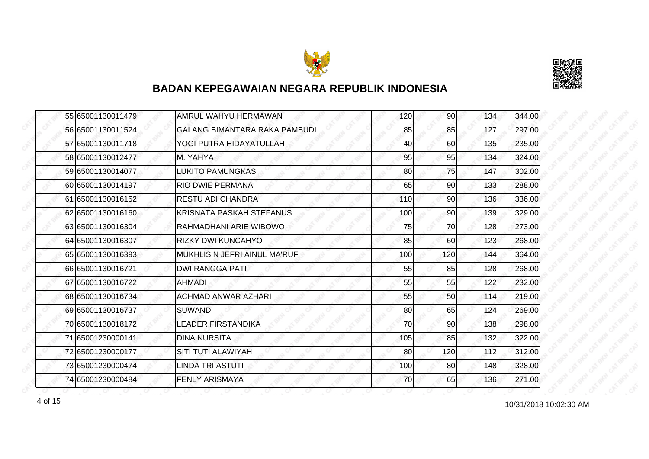



|  | 55 65001130011479 | AMRUL WAHYU HERMAWAN                 | 120 | 90 <sub>l</sub> | 134 | 344.00 |
|--|-------------------|--------------------------------------|-----|-----------------|-----|--------|
|  | 56 65001130011524 | <b>GALANG BIMANTARA RAKA PAMBUDI</b> | 85  | 85              | 127 | 297.00 |
|  | 57 65001130011718 | YOGI PUTRA HIDAYATULLAH              | 40  | 60              | 135 | 235.00 |
|  | 58 65001130012477 | M. YAHYA                             | 95  | 95              | 134 | 324.00 |
|  | 59 65001130014077 | LUKITO PAMUNGKAS                     | 80  | 75              | 147 | 302.00 |
|  | 60 65001130014197 | <b>RIO DWIE PERMANA</b>              | 65  | 90              | 133 | 288.00 |
|  | 61 65001130016152 | <b>RESTU ADI CHANDRA</b>             | 110 | 90 <sub>l</sub> | 136 | 336.00 |
|  | 62 65001130016160 | KRISNATA PASKAH STEFANUS             | 100 | 90              | 139 | 329.00 |
|  | 63 65001130016304 | RAHMADHANI ARIE WIBOWO               | 75  | 70              | 128 | 273.00 |
|  | 64 65001130016307 | RIZKY DWI KUNCAHYO                   | 85  | 60              | 123 | 268.00 |
|  | 65 65001130016393 | MUKHLISIN JEFRI AINUL MA'RUF         | 100 | 120             | 144 | 364.00 |
|  | 66 65001130016721 | <b>DWI RANGGA PATI</b>               | 55  | 85              | 128 | 268.00 |
|  | 67 65001130016722 | <b>AHMADI</b>                        | 55  | 55              | 122 | 232.00 |
|  | 68 65001130016734 | <b>ACHMAD ANWAR AZHARI</b>           | 55  | 50              | 114 | 219.00 |
|  | 69 65001130016737 | <b>SUWANDI</b>                       | 80  | 65              | 124 | 269.00 |
|  | 70 65001130018172 | <b>LEADER FIRSTANDIKA</b>            | 70  | 90              | 138 | 298.00 |
|  | 71 65001230000141 | <b>DINA NURSITA</b>                  | 105 | 85              | 132 | 322.00 |
|  | 72 65001230000177 | SITI TUTI ALAWIYAH                   | 80  | 120             | 112 | 312.00 |
|  | 73 65001230000474 | <b>LINDA TRI ASTUTI</b>              | 100 | 80              | 148 | 328.00 |
|  | 74 65001230000484 | <b>FENLY ARISMAYA</b>                | 70  | 65              | 136 | 271.00 |

10/31/2018 10:02:30 AM 4 of 15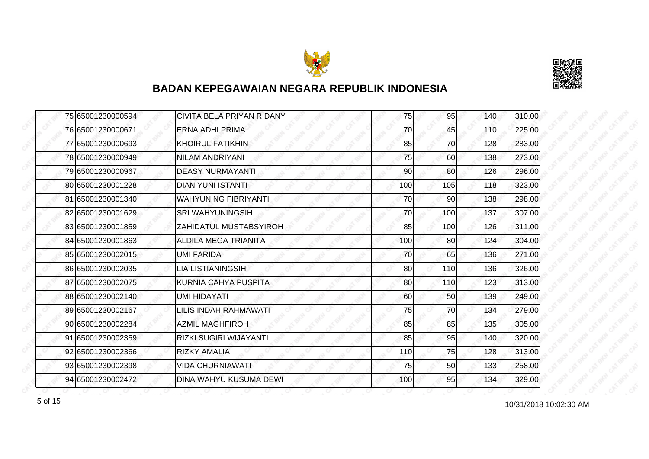



|  | 75 65001230000594 | CIVITA BELA PRIYAN RIDANY     | 75  | 95  | 140 | 310.00 |
|--|-------------------|-------------------------------|-----|-----|-----|--------|
|  | 76 65001230000671 | <b>ERNA ADHI PRIMA</b>        | 70  | 45  | 110 | 225.00 |
|  | 77 65001230000693 | <b>KHOIRUL FATIKHIN</b>       | 85  | 70  | 128 | 283.00 |
|  | 78 65001230000949 | NILAM ANDRIYANI               | 75  | 60  | 138 | 273.00 |
|  | 79 65001230000967 | <b>DEASY NURMAYANTI</b>       | 90  | 80  | 126 | 296.00 |
|  | 80 65001230001228 | <b>DIAN YUNI ISTANTI</b>      | 100 | 105 | 118 | 323.00 |
|  | 81 65001230001340 | <b>WAHYUNING FIBRIYANTI</b>   | 70  | 90  | 138 | 298.00 |
|  | 82 65001230001629 | <b>SRI WAHYUNINGSIH</b>       | 70  | 100 | 137 | 307.00 |
|  | 83 65001230001859 | ZAHIDATUL MUSTABSYIROH        | 85  | 100 | 126 | 311.00 |
|  | 84 65001230001863 | <b>ALDILA MEGA TRIANITA</b>   | 100 | 80  | 124 | 304.00 |
|  | 85 65001230002015 | UMI FARIDA                    | 70  | 65  | 136 | 271.00 |
|  | 86 65001230002035 | <b>LIA LISTIANINGSIH</b>      | 80  | 110 | 136 | 326.00 |
|  | 87 65001230002075 | KURNIA CAHYA PUSPITA          | 80  | 110 | 123 | 313.00 |
|  | 88 65001230002140 | <b>UMI HIDAYATI</b>           | 60  | 50  | 139 | 249.00 |
|  | 89 65001230002167 | LILIS INDAH RAHMAWATI         | 75  | 70  | 134 | 279.00 |
|  | 90 65001230002284 | <b>AZMIL MAGHFIROH</b>        | 85  | 85  | 135 | 305.00 |
|  | 91 65001230002359 | <b>RIZKI SUGIRI WIJAYANTI</b> | 85  | 95  | 140 | 320.00 |
|  | 92 65001230002366 | <b>RIZKY AMALIA</b>           | 110 | 75  | 128 | 313.00 |
|  | 93 65001230002398 | <b>VIDA CHURNIAWATI</b>       | 75  | 50  | 133 | 258.00 |
|  | 94 65001230002472 | DINA WAHYU KUSUMA DEWI        | 100 | 95  | 134 | 329.00 |

10/31/2018 10:02:30 AM 5 of 15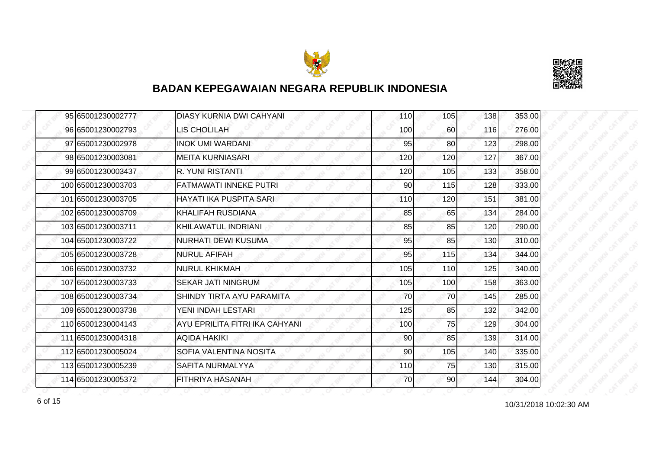



|  | 95 65001230002777  | <b>DIASY KURNIA DWI CAHYANI</b> | 110 | 105 | 138 | 353.00 |
|--|--------------------|---------------------------------|-----|-----|-----|--------|
|  | 96 65001230002793  | LIS CHOLILAH                    | 100 | 60  | 116 | 276.00 |
|  | 97 65001230002978  | <b>INOK UMI WARDANI</b>         | 95  | 80  | 123 | 298.00 |
|  | 98 65001230003081  | <b>MEITA KURNIASARI</b>         | 120 | 120 | 127 | 367.00 |
|  | 99 65001230003437  | R. YUNI RISTANTI                | 120 | 105 | 133 | 358.00 |
|  | 100 65001230003703 | <b>FATMAWATI INNEKE PUTRI</b>   | 90  | 115 | 128 | 333.00 |
|  | 101 65001230003705 | HAYATI IKA PUSPITA SARI         | 110 | 120 | 151 | 381.00 |
|  | 102 65001230003709 | <b>KHALIFAH RUSDIANA</b>        | 85  | 65  | 134 | 284.00 |
|  | 103 65001230003711 | KHILAWATUL INDRIANI             | 85  | 85  | 120 | 290.00 |
|  | 104 65001230003722 | <b>NURHATI DEWI KUSUMA</b>      | 95  | 85  | 130 | 310.00 |
|  | 105 65001230003728 | <b>NURUL AFIFAH</b>             | 95  | 115 | 134 | 344.00 |
|  | 106165001230003732 | <b>NURUL KHIKMAH</b>            | 105 | 110 | 125 | 340.00 |
|  | 107 65001230003733 | <b>SEKAR JATI NINGRUM</b>       | 105 | 100 | 158 | 363.00 |
|  | 108 65001230003734 | SHINDY TIRTA AYU PARAMITA       | 70  | 70  | 145 | 285.00 |
|  | 109 65001230003738 | YENI INDAH LESTARI              | 125 | 85  | 132 | 342.00 |
|  | 110 65001230004143 | AYU EPRILITA FITRI IKA CAHYANI  | 100 | 75  | 129 | 304.00 |
|  | 111 65001230004318 | <b>AQIDA HAKIKI</b>             | 90  | 85  | 139 | 314.00 |
|  | 112 65001230005024 | SOFIA VALENTINA NOSITA          | 90  | 105 | 140 | 335.00 |
|  | 113 65001230005239 | SAFITA NURMALYYA                | 110 | 75  | 130 | 315.00 |
|  | 114 65001230005372 | <b>FITHRIYA HASANAH</b>         | 70  | 90  | 144 | 304.00 |

10/31/2018 10:02:30 AM 6 of 15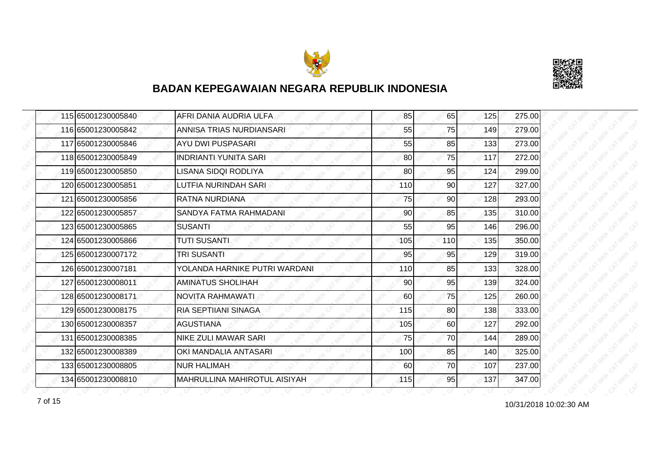



| 115 65001230005840 | AFRI DANIA AUDRIA ULFA              | 85  | 65              | 125 | 275.00 |
|--------------------|-------------------------------------|-----|-----------------|-----|--------|
| 116 65001230005842 | ANNISA TRIAS NURDIANSARI            | 55  | 75              | 149 | 279.00 |
| 117165001230005846 | AYU DWI PUSPASARI                   | 55  | 85              | 133 | 273.00 |
| 118 65001230005849 | <b>INDRIANTI YUNITA SARI</b>        | 80  | 75              | 117 | 272.00 |
| 119 65001230005850 | LISANA SIDQI RODLIYA                | 80  | 95              | 124 | 299.00 |
| 120 65001230005851 | LUTFIA NURINDAH SARI                | 110 | 90              | 127 | 327.00 |
| 121 65001230005856 | <b>RATNA NURDIANA</b>               | 75  | 90 <sub>l</sub> | 128 | 293.00 |
| 122 65001230005857 | SANDYA FATMA RAHMADANI              | 90  | 85              | 135 | 310.00 |
| 123 65001230005865 | <b>SUSANTI</b>                      | 55  | 95              | 146 | 296.00 |
| 124 65001230005866 | <b>TUTI SUSANTI</b>                 | 105 | <b>110</b>      | 135 | 350.00 |
| 125 65001230007172 | <b>TRI SUSANTI</b>                  | 95  | 95              | 129 | 319.00 |
| 126165001230007181 | YOLANDA HARNIKE PUTRI WARDANI       | 110 | 85              | 133 | 328.00 |
| 127 65001230008011 | <b>AMINATUS SHOLIHAH</b>            | 90  | 95              | 139 | 324.00 |
| 128 65001230008171 | NOVITA RAHMAWATI.                   | 60  | 75              | 125 | 260.00 |
| 129 65001230008175 | <b>RIA SEPTIIANI SINAGA</b>         | 115 | 80              | 138 | 333.00 |
| 130 65001230008357 | <b>AGUSTIANA</b>                    | 105 | 60              | 127 | 292.00 |
| 131 65001230008385 | <b>NIKE ZULI MAWAR SARI</b>         | 75  | 70              | 144 | 289.00 |
| 132165001230008389 | OKI MANDALIA ANTASARI               | 100 | 85              | 140 | 325.00 |
| 133 65001230008805 | <b>NUR HALIMAH</b>                  | 60  | 70              | 107 | 237.00 |
| 134 65001230008810 | <b>MAHRULLINA MAHIROTUL AISIYAH</b> | 115 | 95              | 137 | 347.00 |

10/31/2018 10:02:30 AM 7 of 15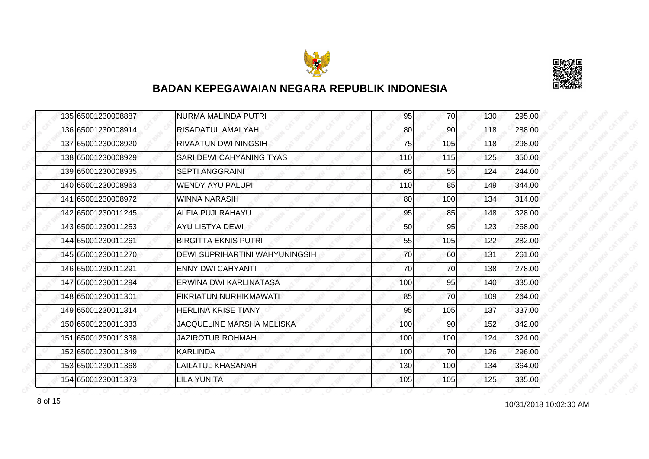



| 135 65001230008887 | <b>NURMA MALINDA PUTRI</b>     | 95  | 70              | 130 | 295.00 |
|--------------------|--------------------------------|-----|-----------------|-----|--------|
| 136 65001230008914 | RISADATUL AMALYAH              | 80  | 90              | 118 | 288.00 |
| 137 65001230008920 | <b>RIVAATUN DWI NINGSIH</b>    | 75  | 105             | 118 | 298.00 |
| 138 65001230008929 | SARI DEWI CAHYANING TYAS       | 110 | 115             | 125 | 350.00 |
| 139 65001230008935 | <b>SEPTI ANGGRAINI</b>         | 65  | 55              | 124 | 244.00 |
| 140 65001230008963 | <b>WENDY AYU PALUPI</b>        | 110 | 85              | 149 | 344.00 |
| 141 65001230008972 | <b>WINNA NARASIH</b>           | 80  | 100l            | 134 | 314.00 |
| 142 65001230011245 | <b>ALFIA PUJI RAHAYU</b>       | 95  | 85              | 148 | 328.00 |
| 143 65001230011253 | AYU LISTYA DEWI                | 50  | 95              | 123 | 268.00 |
| 144 65001230011261 | <b>BIRGITTA EKNIS PUTRI</b>    | 55  | 105             | 122 | 282.00 |
| 145 65001230011270 | DEWI SUPRIHARTINI WAHYUNINGSIH | 70  | 60              | 131 | 261.00 |
| 146 65001230011291 | <b>ENNY DWI CAHYANTI</b>       | 70  | 70              | 138 | 278.00 |
| 147 65001230011294 | ERWINA DWI KARLINATASA         | 100 | 95              | 140 | 335.00 |
| 148 65001230011301 | FIKRIATUN NURHIKMAWATI         | 85  | <b>70</b>       | 109 | 264.00 |
| 149 65001230011314 | <b>HERLINA KRISE TIANY</b>     | 95  | 105             | 137 | 337.00 |
| 150 65001230011333 | JACQUELINE MARSHA MELISKA      | 100 | 90 <sub>0</sub> | 152 | 342.00 |
| 151 65001230011338 | JAZIROTUR ROHMAH               | 100 | 100             | 124 | 324.00 |
| 152 65001230011349 | <b>KARLINDA</b>                | 100 | 70              | 126 | 296.00 |
| 153 65001230011368 | <b>LAILATUL KHASANAH</b>       | 130 | 100             | 134 | 364.00 |
| 154 65001230011373 | LILA YUNITA                    | 105 | 105             | 125 | 335.00 |

10/31/2018 10:02:30 AM 8 of 15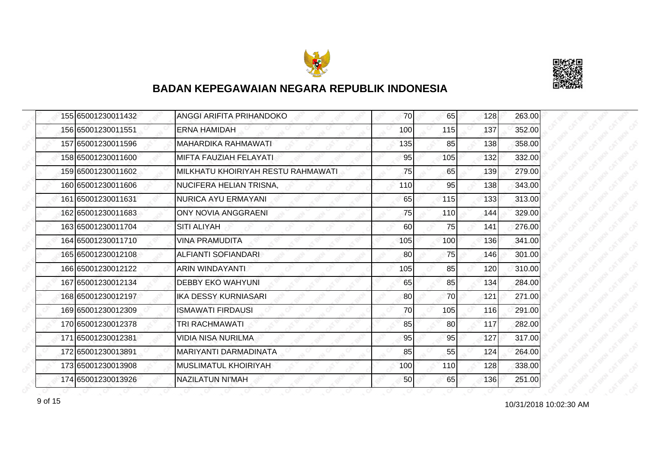



| 155 65001230011432 | ANGGI ARIFITA PRIHANDOKO           | 70  | 65              | 128 | 263.00 |
|--------------------|------------------------------------|-----|-----------------|-----|--------|
| 156 65001230011551 | <b>ERNA HAMIDAH</b>                | 100 | 115             | 137 | 352.00 |
| 157 65001230011596 | <b>MAHARDIKA RAHMAWATI</b>         | 135 | 85              | 138 | 358.00 |
| 158 65001230011600 | MIFTA FAUZIAH FELAYATI             | 95  | 105             | 132 | 332.00 |
| 159 65001230011602 | MILKHATU KHOIRIYAH RESTU RAHMAWATI | 75  | 65              | 139 | 279.00 |
| 160 65001230011606 | NUCIFERA HELIAN TRISNA,            | 110 | 95              | 138 | 343.00 |
| 161 65001230011631 | <b>NURICA AYU ERMAYANI</b>         | 65  | 115             | 133 | 313.00 |
| 162 65001230011683 | <b>ONY NOVIA ANGGRAENI</b>         | 75  | 110             | 144 | 329.00 |
| 163 65001230011704 | <b>SITI ALIYAH</b>                 | 60  | 75              | 141 | 276.00 |
| 164 65001230011710 | <b>VINA PRAMUDITA</b>              | 105 | 100             | 136 | 341.00 |
| 165 65001230012108 | <b>ALFIANTI SOFIANDARI</b>         | 80  | 75              | 146 | 301.00 |
| 166 65001230012122 | ARIN WINDAYANTI                    | 105 | 85              | 120 | 310.00 |
| 167165001230012134 | <b>DEBBY EKO WAHYUNI</b>           | 65  | 85              | 134 | 284.00 |
| 168 65001230012197 | <b>IKA DESSY KURNIASARI</b>        | 80  | 70              | 121 | 271.00 |
| 169 65001230012309 | <b>ISMAWATI FIRDAUSI</b>           | 70  | 105             | 116 | 291.00 |
| 170 65001230012378 | TRI RACHMAWATI                     | 85  | 80 <sup>1</sup> | 117 | 282.00 |
| 171 65001230012381 | VIDIA NISA NURILMA                 | 95  | 95              | 127 | 317.00 |
| 172165001230013891 | MARIYANTI DARMADINATA              | 85  | 55              | 124 | 264.00 |
| 173 65001230013908 | MUSLIMATUL KHOIRIYAH               | 100 | 110             | 128 | 338.00 |
| 174 65001230013926 | NAZILATUN NI'MAH                   | 50  | 65              | 136 | 251.00 |

10/31/2018 10:02:30 AM 9 of 15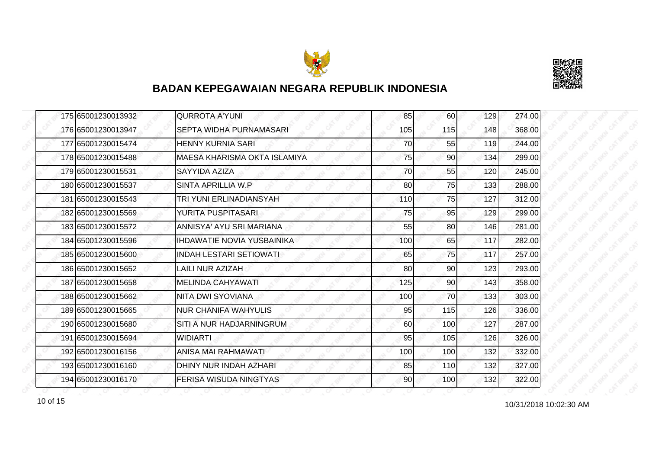



|  | 175 65001230013932 | <b>QURROTA A'YUNI</b>             | 85  | 60  | 129 | 274.00 |
|--|--------------------|-----------------------------------|-----|-----|-----|--------|
|  | 176 65001230013947 | SEPTA WIDHA PURNAMASARI           | 105 | 115 | 148 | 368.00 |
|  | 177 65001230015474 | <b>HENNY KURNIA SARI</b>          | 70  | 55  | 119 | 244.00 |
|  | 178 65001230015488 | MAESA KHARISMA OKTA ISLAMIYA      | 75  | 90  | 134 | 299.00 |
|  | 179 65001230015531 | SAYYIDA AZIZA                     | 70  | 55  | 120 | 245.00 |
|  | 180 65001230015537 | SINTA APRILLIA W.P.               | 80  | 75  | 133 | 288.00 |
|  | 181 65001230015543 | TRI YUNI ERLINADIANSYAH           | 110 | 75  | 127 | 312.00 |
|  | 182 65001230015569 | YURITA PUSPITASARI                | 75  | 95  | 129 | 299.00 |
|  | 183 65001230015572 | ANNISYA' AYU SRI MARIANA          | 55  | 80  | 146 | 281.00 |
|  | 184 65001230015596 | <b>IHDAWATIE NOVIA YUSBAINIKA</b> | 100 | 65  | 117 | 282.00 |
|  | 185 65001230015600 | <b>INDAH LESTARI SETIOWATI</b>    | 65  | 75  | 117 | 257.00 |
|  | 186 65001230015652 | LAILI NUR AZIZAH                  | 80  | 90  | 123 | 293.00 |
|  | 187 65001230015658 | <b>MELINDA CAHYAWATI</b>          | 125 | 90  | 143 | 358.00 |
|  | 188 65001230015662 | NITA DWI SYOVIANA                 | 100 | 70  | 133 | 303.00 |
|  | 189 65001230015665 | <b>NUR CHANIFA WAHYULIS</b>       | 95  | 115 | 126 | 336.00 |
|  | 190 65001230015680 | SITI A NUR HADJARNINGRUM          | 60  | 100 | 127 | 287.00 |
|  | 191 65001230015694 | <b>WIDIARTI</b>                   | 95  | 105 | 126 | 326.00 |
|  | 192 65001230016156 | ANISA MAI RAHMAWATI               | 100 | 100 | 132 | 332.00 |
|  | 193 65001230016160 | DHINY NUR INDAH AZHARI            | 85  | 110 | 132 | 327.00 |
|  | 194 65001230016170 | <b>FERISA WISUDA NINGTYAS</b>     | 90  | 100 | 132 | 322.00 |

10/31/2018 10:02:30 AM 10 of 15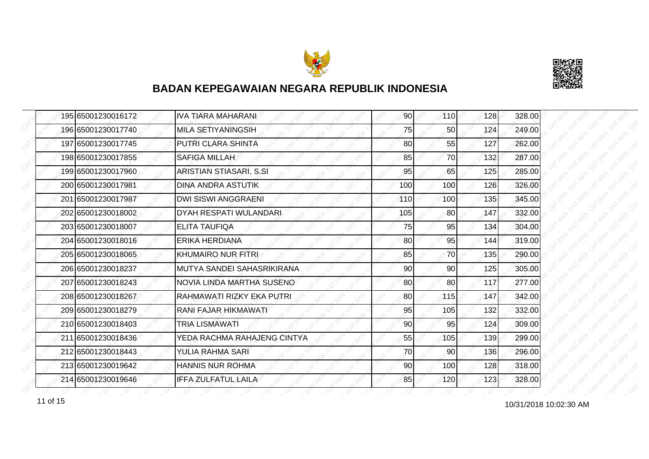



| 195 65001230016172 | <b>IVA TIARA MAHARANI</b>   | 90  | 110             | 128 | 328.00 |
|--------------------|-----------------------------|-----|-----------------|-----|--------|
| 196 65001230017740 | MILA SETIYANINGSIH          | 75  | 50 <sub>l</sub> | 124 | 249.00 |
| 197 65001230017745 | PUTRI CLARA SHINTA          | 80  | 55              | 127 | 262.00 |
| 198 65001230017855 | <b>SAFIGA MILLAH</b>        | 85  | 70              | 132 | 287.00 |
| 199 65001230017960 | ARISTIAN STIASARI, S.SI     | 95  | 65              | 125 | 285.00 |
| 200 65001230017981 | DINA ANDRA ASTUTIK          | 100 | 100             | 126 | 326.00 |
| 201 65001230017987 | <b>DWI SISWI ANGGRAENI</b>  | 110 | 100             | 135 | 345.00 |
| 202 65001230018002 | DYAH RESPATI WULANDARI      | 105 | 80              | 147 | 332.00 |
| 203 65001230018007 | <b>ELITA TAUFIQA</b>        | 75  | 95              | 134 | 304.00 |
| 204 65001230018016 | ERIKA HERDIANA              | 80  | 95              | 144 | 319.00 |
| 205 65001230018065 | KHUMAIRO NUR FITRI          | 85  | 70              | 135 | 290.00 |
| 206 65001230018237 | MUTYA SANDEI SAHASRIKIRANA  | 90  | 90              | 125 | 305.00 |
| 207 65001230018243 | NOVIA LINDA MARTHA SUSENO   | 80  | 80I             | 117 | 277.00 |
| 208 65001230018267 | RAHMAWATI RIZKY EKA PUTRI   | 80  | 115             | 147 | 342.00 |
| 209 65001230018279 | RANI FAJAR HIKMAWATI        | 95  | 105             | 132 | 332.00 |
| 210 65001230018403 | <b>TRIA LISMAWATI</b>       | 90  | 95              | 124 | 309.00 |
| 211 65001230018436 | YEDA RACHMA RAHAJENG CINTYA | 55  | 105             | 139 | 299.00 |
| 212 65001230018443 | YULIA RAHMA SARI            | 70  | 90              | 136 | 296.00 |
| 213 65001230019642 | <b>HANNIS NUR ROHMA</b>     | 90  | 100             | 128 | 318.00 |
| 214 65001230019646 | <b>IFFA ZULFATUL LAILA</b>  | 85  | 120             | 123 | 328.00 |

10/31/2018 10:02:30 AM 11 of 15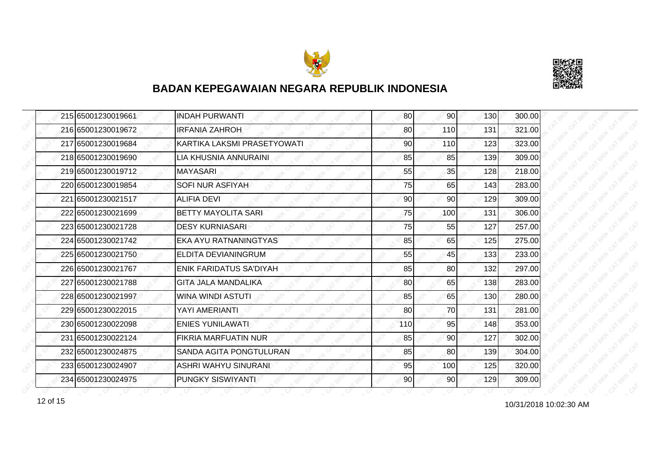



| 215 65001230019661 | <b>INDAH PURWANTI</b>        | 80  | 90              | 130 | 300.00 |
|--------------------|------------------------------|-----|-----------------|-----|--------|
| 216 65001230019672 | <b>IRFANIA ZAHROH</b>        | 80  | 110             | 131 | 321.00 |
| 217 65001230019684 | KARTIKA LAKSMI PRASETYOWATI  | 90  | 110             | 123 | 323.00 |
| 218 65001230019690 | LIA KHUSNIA ANNURAINI        | 85  | 85              | 139 | 309.00 |
| 219 65001230019712 | <b>MAYASARI</b>              | 55  | 35              | 128 | 218.00 |
| 220 65001230019854 | SOFI NUR ASFIYAH             | 75  | 65              | 143 | 283.00 |
| 221 65001230021517 | <b>ALIFIA DEVI</b>           | 90  | 90 <sub>l</sub> | 129 | 309.00 |
| 222 65001230021699 | <b>BETTY MAYOLITA SARI</b>   | 75  | 100             | 131 | 306.00 |
| 223165001230021728 | <b>DESY KURNIASARI</b>       | 75  | 55              | 127 | 257.00 |
| 224 65001230021742 | <b>EKA AYU RATNANINGTYAS</b> | 85  | 65              | 125 | 275.00 |
| 225 65001230021750 | ELDITA DEVIANINGRUM          | 55  | 45              | 133 | 233.00 |
| 226165001230021767 | ENIK FARIDATUS SA'DIYAH      | 85  | 80              | 132 | 297.00 |
| 227 65001230021788 | <b>GITA JALA MANDALIKA</b>   | 80  | 65              | 138 | 283.00 |
| 228 65001230021997 | <b>WINA WINDI ASTUTI</b>     | 85  | 65              | 130 | 280.00 |
| 229 65001230022015 | YAYI AMERIANTI               | 80  | 70              | 131 | 281.00 |
| 230 65001230022098 | <b>ENIES YUNILAWATI</b>      | 110 | 95              | 148 | 353.00 |
| 231 65001230022124 | <b>FIKRIA MARFUATIN NUR</b>  | 85  | 90              | 127 | 302.00 |
| 232165001230024875 | SANDA AGITA PONGTULURAN      | 85  | 80              | 139 | 304.00 |
| 233 65001230024907 | <b>ASHRI WAHYU SINURANI</b>  | 95  | 100             | 125 | 320.00 |
| 234 65001230024975 | <b>PUNGKY SISWIYANTI</b>     | 90  | 90              | 129 | 309.00 |

10/31/2018 10:02:30 AM 12 of 15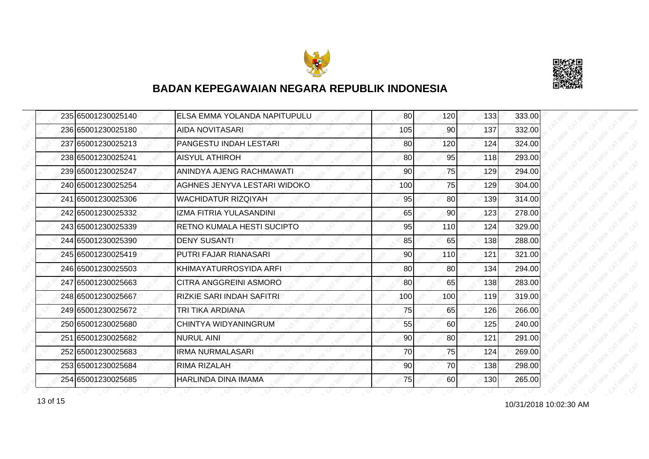



| 235165001230025140 | <b>ELSA EMMA YOLANDA NAPITUPULU</b> | 80  | 120             | 133 | 333.00 |
|--------------------|-------------------------------------|-----|-----------------|-----|--------|
| 236 65001230025180 | AIDA NOVITASARI                     | 105 | 90              | 137 | 332.00 |
| 237 65001230025213 | PANGESTU INDAH LESTARI              | 80  | 120             | 124 | 324.00 |
| 238 65001230025241 | <b>AISYUL ATHIROH</b>               | 80  | 95              | 118 | 293.00 |
| 239 65001230025247 | ANINDYA AJENG RACHMAWATI            | 90  | 75              | 129 | 294.00 |
| 240 65001230025254 | AGHNES JENYVA LESTARI WIDOKO        | 100 | 75              | 129 | 304.00 |
| 241 65001230025306 | <b>WACHIDATUR RIZQIYAH</b>          | 95  | 80 <sup>1</sup> | 139 | 314.00 |
| 242 65001230025332 | IZMA FITRIA YULASANDINI             | 65  | 90              | 123 | 278.00 |
| 243 65001230025339 | <b>RETNO KUMALA HESTI SUCIPTO</b>   | 95  | 110             | 124 | 329.00 |
| 244 65001230025390 | <b>DENY SUSANTI</b>                 | 85  | 65              | 138 | 288.00 |
| 245 65001230025419 | PUTRI FAJAR RIANASARI               | 90  | 110             | 121 | 321.00 |
| 246 65001230025503 | IKHIMAYATURROSYIDA ARFI             | 80  | 80              | 134 | 294.00 |
| 247 65001230025663 | ICITRA ANGGREINI ASMORO             | 80  | 65              | 138 | 283.00 |
| 248 65001230025667 | <b>RIZKIE SARI INDAH SAFITRI</b>    | 100 | 100             | 119 | 319.00 |
| 249 65001230025672 | TRI TIKA ARDIANA                    | 75  | 65              | 126 | 266.00 |
| 250 65001230025680 | CHINTYA WIDYANINGRUM                | 55  | 60              | 125 | 240.00 |
| 251 65001230025682 | <b>NURUL AINI</b>                   | 90  | 80              | 121 | 291.00 |
| 252165001230025683 | <b>IRMA NURMALASARI</b>             | 70  | 75              | 124 | 269.00 |
| 253 65001230025684 | RIMA RIZALAH                        | 90  | 70              | 138 | 298.00 |
| 254 65001230025685 | <b>HARLINDA DINA IMAMA</b>          | 75  | 60              | 130 | 265.00 |

10/31/2018 10:02:30 AM 13 of 15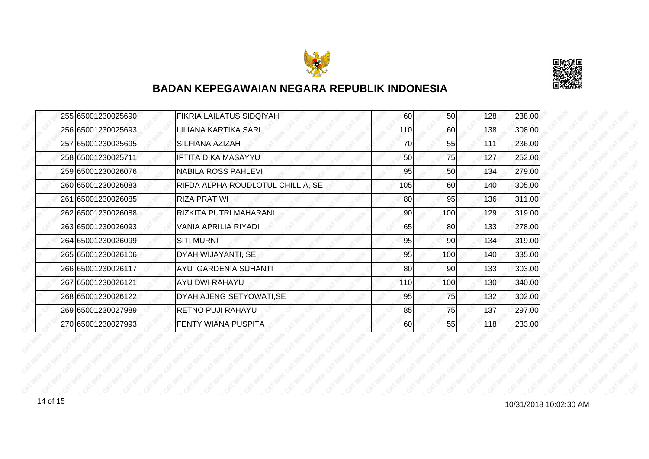



| 255 65001230025690 | FIKRIA LAILATUS SIDQIYAH          | 60  | 50              | 128 | 238.00 |
|--------------------|-----------------------------------|-----|-----------------|-----|--------|
| 256 65001230025693 | LILIANA KARTIKA SARI              | 110 | 60              | 138 | 308.00 |
| 257 65001230025695 | <b>SILFIANA AZIZAH</b>            | 70  | 55              | 111 | 236.00 |
| 258 65001230025711 | IFTITA DIKA MASAYYU               | 50  | <b>75</b>       | 127 | 252.00 |
| 259 65001230026076 | <b>NABILA ROSS PAHLEVI</b>        | 95  | 50              | 134 | 279.00 |
| 260 65001230026083 | RIFDA ALPHA ROUDLOTUL CHILLIA, SE | 105 | 60              | 140 | 305.00 |
| 261 65001230026085 | <b>RIZA PRATIWI</b>               | 80  | 95              | 136 | 311.00 |
| 262 65001230026088 | RIZKITA PUTRI MAHARANI            | 90  | 100             | 129 | 319.00 |
| 263 65001230026093 | VANIA APRILIA RIYADI              | 65  | 80              | 133 | 278.00 |
| 264 65001230026099 | <b>SITI MURNI</b>                 | 95  | 90 <sub>1</sub> | 134 | 319.00 |
| 265 65001230026106 | DYAH WIJAYANTI, SE                | 95  | 100             | 140 | 335.00 |
| 266 65001230026117 | <b>AYU GARDENIA SUHANTI</b>       | 80  | 90              | 133 | 303.00 |
| 267 65001230026121 | <b>AYU DWI RAHAYU</b>             | 110 | 100             | 130 | 340.00 |
| 268 65001230026122 | DYAH AJENG SETYOWATI, SE          | 95  | 75              | 132 | 302.00 |
| 269 65001230027989 | <b>RETNO PUJI RAHAYU</b>          | 85  | 75              | 137 | 297.00 |
| 270 65001230027993 | <b>FENTY WIANA PUSPITA</b>        | 60  | 55              | 118 | 233.00 |

14 of 15<br>10/31/2018 10:02:30 AM